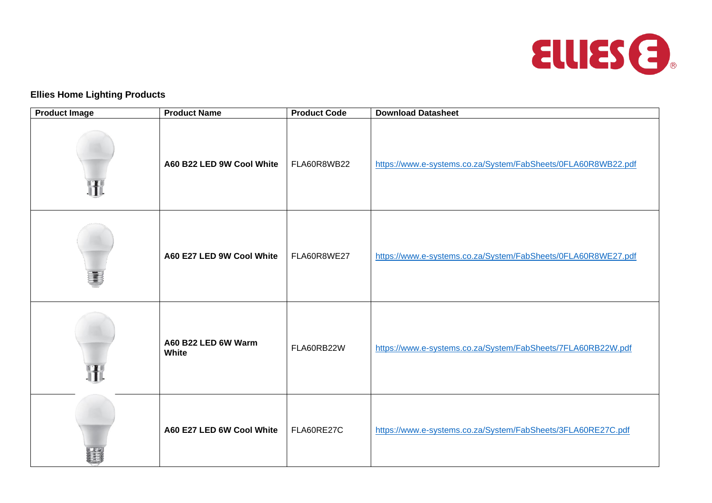

## **Ellies Home Lighting Products**

| <b>Product Image</b> | <b>Product Name</b>          | <b>Product Code</b> | <b>Download Datasheet</b>                                     |
|----------------------|------------------------------|---------------------|---------------------------------------------------------------|
|                      | A60 B22 LED 9W Cool White    | FLA60R8WB22         | https://www.e-systems.co.za/System/FabSheets/0FLA60R8WB22.pdf |
|                      | A60 E27 LED 9W Cool White    | FLA60R8WE27         | https://www.e-systems.co.za/System/FabSheets/0FLA60R8WE27.pdf |
|                      | A60 B22 LED 6W Warm<br>White | FLA60RB22W          | https://www.e-systems.co.za/System/FabSheets/7FLA60RB22W.pdf  |
|                      | A60 E27 LED 6W Cool White    | FLA60RE27C          | https://www.e-systems.co.za/System/FabSheets/3FLA60RE27C.pdf  |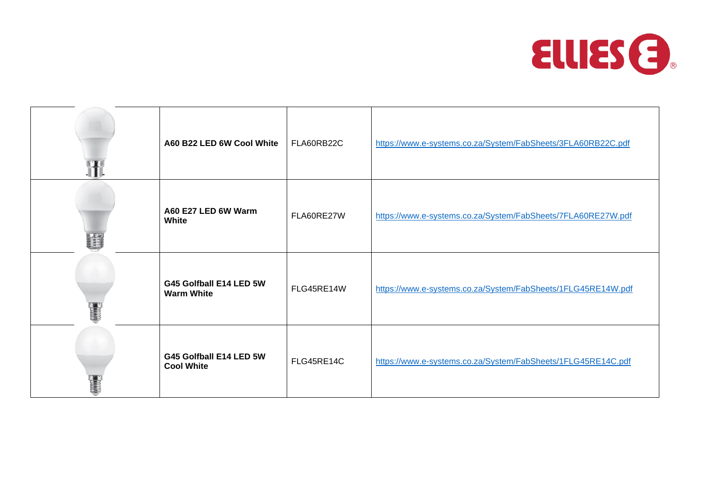

| A60 B22 LED 6W Cool White                    | FLA60RB22C | https://www.e-systems.co.za/System/FabSheets/3FLA60RB22C.pdf |
|----------------------------------------------|------------|--------------------------------------------------------------|
| A60 E27 LED 6W Warm<br>White                 | FLA60RE27W | https://www.e-systems.co.za/System/FabSheets/7FLA60RE27W.pdf |
| G45 Golfball E14 LED 5W<br><b>Warm White</b> | FLG45RE14W | https://www.e-systems.co.za/System/FabSheets/1FLG45RE14W.pdf |
| G45 Golfball E14 LED 5W<br><b>Cool White</b> | FLG45RE14C | https://www.e-systems.co.za/System/FabSheets/1FLG45RE14C.pdf |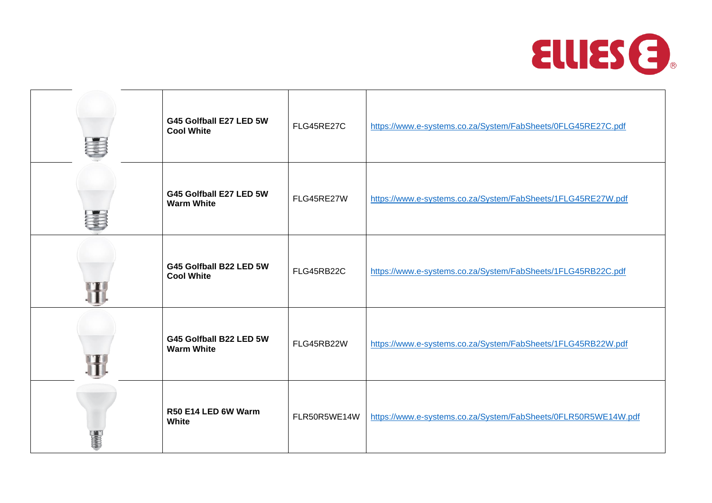

| G45 Golfball E27 LED 5W<br><b>Cool White</b> | FLG45RE27C   | https://www.e-systems.co.za/System/FabSheets/0FLG45RE27C.pdf   |
|----------------------------------------------|--------------|----------------------------------------------------------------|
| G45 Golfball E27 LED 5W<br><b>Warm White</b> | FLG45RE27W   | https://www.e-systems.co.za/System/FabSheets/1FLG45RE27W.pdf   |
| G45 Golfball B22 LED 5W<br><b>Cool White</b> | FLG45RB22C   | https://www.e-systems.co.za/System/FabSheets/1FLG45RB22C.pdf   |
| G45 Golfball B22 LED 5W<br><b>Warm White</b> | FLG45RB22W   | https://www.e-systems.co.za/System/FabSheets/1FLG45RB22W.pdf   |
| R50 E14 LED 6W Warm<br>White                 | FLR50R5WE14W | https://www.e-systems.co.za/System/FabSheets/0FLR50R5WE14W.pdf |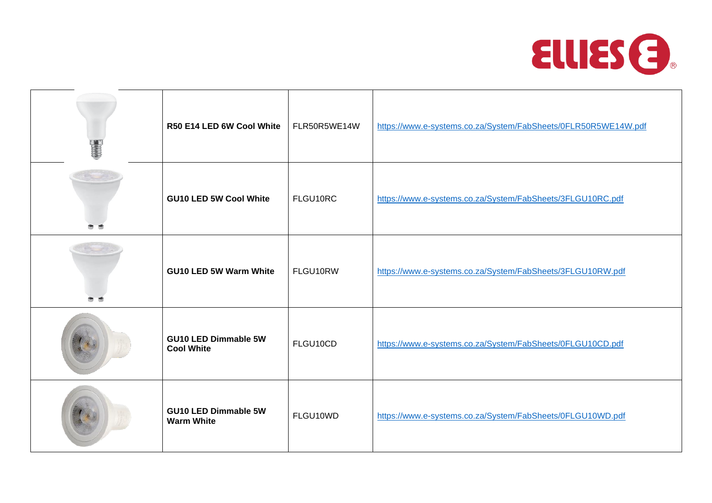

| R50 E14 LED 6W Cool White                        | FLR50R5WE14W | https://www.e-systems.co.za/System/FabSheets/0FLR50R5WE14W.pdf |
|--------------------------------------------------|--------------|----------------------------------------------------------------|
| <b>GU10 LED 5W Cool White</b>                    | FLGU10RC     | https://www.e-systems.co.za/System/FabSheets/3FLGU10RC.pdf     |
| <b>GU10 LED 5W Warm White</b>                    | FLGU10RW     | https://www.e-systems.co.za/System/FabSheets/3FLGU10RW.pdf     |
| <b>GU10 LED Dimmable 5W</b><br><b>Cool White</b> | FLGU10CD     | https://www.e-systems.co.za/System/FabSheets/0FLGU10CD.pdf     |
| <b>GU10 LED Dimmable 5W</b><br><b>Warm White</b> | FLGU10WD     | https://www.e-systems.co.za/System/FabSheets/0FLGU10WD.pdf     |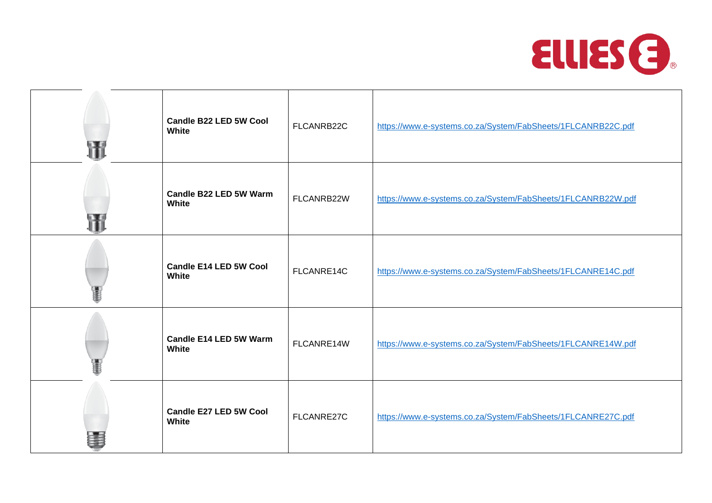

| <b>Candle B22 LED 5W Cool</b><br>White        | FLCANRB22C | https://www.e-systems.co.za/System/FabSheets/1FLCANRB22C.pdf |
|-----------------------------------------------|------------|--------------------------------------------------------------|
| Candle B22 LED 5W Warm<br>White               | FLCANRB22W | https://www.e-systems.co.za/System/FabSheets/1FLCANRB22W.pdf |
| Candle E14 LED 5W Cool<br><b>White</b>        | FLCANRE14C | https://www.e-systems.co.za/System/FabSheets/1FLCANRE14C.pdf |
| <b>Candle E14 LED 5W Warm</b><br><b>White</b> | FLCANRE14W | https://www.e-systems.co.za/System/FabSheets/1FLCANRE14W.pdf |
| Candle E27 LED 5W Cool<br>White               | FLCANRE27C | https://www.e-systems.co.za/System/FabSheets/1FLCANRE27C.pdf |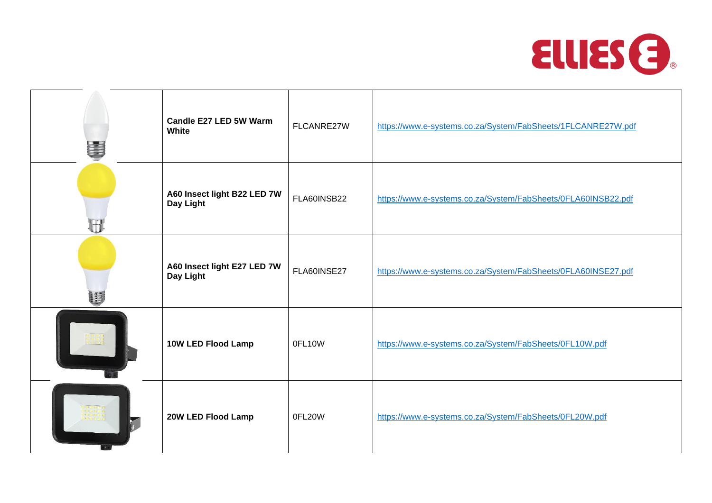

| Candle E27 LED 5W Warm<br>White          | FLCANRE27W  | https://www.e-systems.co.za/System/FabSheets/1FLCANRE27W.pdf  |
|------------------------------------------|-------------|---------------------------------------------------------------|
| A60 Insect light B22 LED 7W<br>Day Light | FLA60INSB22 | https://www.e-systems.co.za/System/FabSheets/0FLA60INSB22.pdf |
| A60 Insect light E27 LED 7W<br>Day Light | FLA60INSE27 | https://www.e-systems.co.za/System/FabSheets/0FLA60INSE27.pdf |
| 10W LED Flood Lamp                       | 0FL10W      | https://www.e-systems.co.za/System/FabSheets/0FL10W.pdf       |
| 20W LED Flood Lamp                       | 0FL20W      | https://www.e-systems.co.za/System/FabSheets/0FL20W.pdf       |